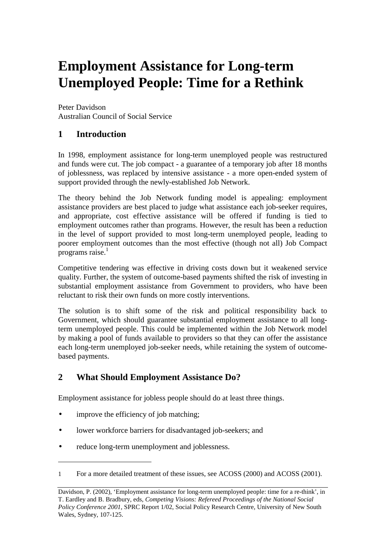# **Employment Assistance for Long-term Unemployed People: Time for a Rethink**

Peter Davidson Australian Council of Social Service

## **1 Introduction**

In 1998, employment assistance for long-term unemployed people was restructured and funds were cut. The job compact - a guarantee of a temporary job after 18 months of joblessness, was replaced by intensive assistance - a more open-ended system of support provided through the newly-established Job Network.

The theory behind the Job Network funding model is appealing: employment assistance providers are best placed to judge what assistance each job-seeker requires, and appropriate, cost effective assistance will be offered if funding is tied to employment outcomes rather than programs. However, the result has been a reduction in the level of support provided to most long-term unemployed people, leading to poorer employment outcomes than the most effective (though not all) Job Compact programs raise.1

Competitive tendering was effective in driving costs down but it weakened service quality. Further, the system of outcome-based payments shifted the risk of investing in substantial employment assistance from Government to providers, who have been reluctant to risk their own funds on more costly interventions.

The solution is to shift some of the risk and political responsibility back to Government, which should guarantee substantial employment assistance to all longterm unemployed people. This could be implemented within the Job Network model by making a pool of funds available to providers so that they can offer the assistance each long-term unemployed job-seeker needs, while retaining the system of outcomebased payments.

## **2 What Should Employment Assistance Do?**

Employment assistance for jobless people should do at least three things.

improve the efficiency of job matching;

l

- lower workforce barriers for disadvantaged job-seekers; and
- reduce long-term unemployment and joblessness.

<sup>1</sup> For a more detailed treatment of these issues, see ACOSS (2000) and ACOSS (2001).

Davidson, P. (2002), 'Employment assistance for long-term unemployed people: time for a re-think', in T. Eardley and B. Bradbury, eds, *Competing Visions: Refereed Proceedings of the National Social Policy Conference 2001*, SPRC Report 1/02, Social Policy Research Centre, University of New South Wales, Sydney, 107-125.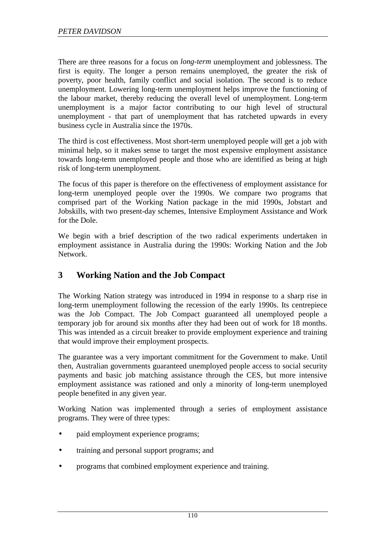There are three reasons for a focus on *long-term* unemployment and joblessness. The first is equity. The longer a person remains unemployed, the greater the risk of poverty, poor health, family conflict and social isolation. The second is to reduce unemployment. Lowering long-term unemployment helps improve the functioning of the labour market, thereby reducing the overall level of unemployment. Long-term unemployment is a major factor contributing to our high level of structural unemployment - that part of unemployment that has ratcheted upwards in every business cycle in Australia since the 1970s.

The third is cost effectiveness. Most short-term unemployed people will get a job with minimal help, so it makes sense to target the most expensive employment assistance towards long-term unemployed people and those who are identified as being at high risk of long-term unemployment.

The focus of this paper is therefore on the effectiveness of employment assistance for long-term unemployed people over the 1990s. We compare two programs that comprised part of the Working Nation package in the mid 1990s, Jobstart and Jobskills, with two present-day schemes, Intensive Employment Assistance and Work for the Dole.

We begin with a brief description of the two radical experiments undertaken in employment assistance in Australia during the 1990s: Working Nation and the Job Network.

## **3 Working Nation and the Job Compact**

The Working Nation strategy was introduced in 1994 in response to a sharp rise in long-term unemployment following the recession of the early 1990s. Its centrepiece was the Job Compact. The Job Compact guaranteed all unemployed people a temporary job for around six months after they had been out of work for 18 months. This was intended as a circuit breaker to provide employment experience and training that would improve their employment prospects.

The guarantee was a very important commitment for the Government to make. Until then, Australian governments guaranteed unemployed people access to social security payments and basic job matching assistance through the CES, but more intensive employment assistance was rationed and only a minority of long-term unemployed people benefited in any given year.

Working Nation was implemented through a series of employment assistance programs. They were of three types:

- paid employment experience programs;
- training and personal support programs; and
- programs that combined employment experience and training.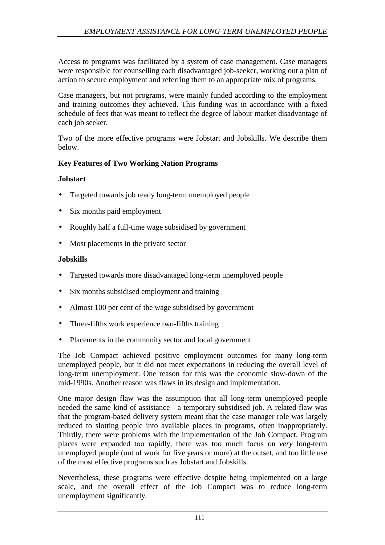Access to programs was facilitated by a system of case management. Case managers were responsible for counselling each disadvantaged job-seeker, working out a plan of action to secure employment and referring them to an appropriate mix of programs.

Case managers, but not programs, were mainly funded according to the employment and training outcomes they achieved. This funding was in accordance with a fixed schedule of fees that was meant to reflect the degree of labour market disadvantage of each job seeker.

Two of the more effective programs were Jobstart and Jobskills. We describe them below.

#### **Key Features of Two Working Nation Programs**

#### **Jobstart**

- Targeted towards job ready long-term unemployed people
- Six months paid employment
- Roughly half a full-time wage subsidised by government
- Most placements in the private sector

#### **Jobskills**

- Targeted towards more disadvantaged long-term unemployed people
- Six months subsidised employment and training
- Almost 100 per cent of the wage subsidised by government
- Three-fifths work experience two-fifths training
- Placements in the community sector and local government

The Job Compact achieved positive employment outcomes for many long-term unemployed people, but it did not meet expectations in reducing the overall level of long-term unemployment. One reason for this was the economic slow-down of the mid-1990s. Another reason was flaws in its design and implementation.

One major design flaw was the assumption that all long-term unemployed people needed the same kind of assistance - a temporary subsidised job. A related flaw was that the program-based delivery system meant that the case manager role was largely reduced to slotting people into available places in programs, often inappropriately. Thirdly, there were problems with the implementation of the Job Compact. Program places were expanded too rapidly, there was too much focus on *very* long-term unemployed people (out of work for five years or more) at the outset, and too little use of the most effective programs such as Jobstart and Jobskills.

Nevertheless, these programs were effective despite being implemented on a large scale, and the overall effect of the Job Compact was to reduce long-term unemployment significantly.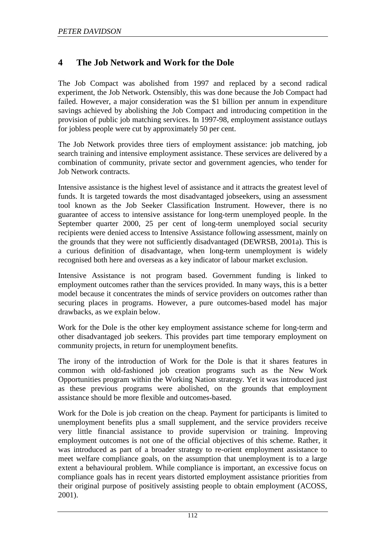# **4 The Job Network and Work for the Dole**

The Job Compact was abolished from 1997 and replaced by a second radical experiment, the Job Network. Ostensibly, this was done because the Job Compact had failed. However, a major consideration was the \$1 billion per annum in expenditure savings achieved by abolishing the Job Compact and introducing competition in the provision of public job matching services. In 1997-98, employment assistance outlays for jobless people were cut by approximately 50 per cent.

The Job Network provides three tiers of employment assistance: job matching, job search training and intensive employment assistance. These services are delivered by a combination of community, private sector and government agencies, who tender for Job Network contracts.

Intensive assistance is the highest level of assistance and it attracts the greatest level of funds. It is targeted towards the most disadvantaged jobseekers, using an assessment tool known as the Job Seeker Classification Instrument. However, there is no guarantee of access to intensive assistance for long-term unemployed people. In the September quarter 2000, 25 per cent of long-term unemployed social security recipients were denied access to Intensive Assistance following assessment, mainly on the grounds that they were not sufficiently disadvantaged (DEWRSB, 2001a). This is a curious definition of disadvantage, when long-term unemployment is widely recognised both here and overseas as a key indicator of labour market exclusion.

Intensive Assistance is not program based. Government funding is linked to employment outcomes rather than the services provided. In many ways, this is a better model because it concentrates the minds of service providers on outcomes rather than securing places in programs. However, a pure outcomes-based model has major drawbacks, as we explain below.

Work for the Dole is the other key employment assistance scheme for long-term and other disadvantaged job seekers. This provides part time temporary employment on community projects, in return for unemployment benefits.

The irony of the introduction of Work for the Dole is that it shares features in common with old-fashioned job creation programs such as the New Work Opportunities program within the Working Nation strategy. Yet it was introduced just as these previous programs were abolished, on the grounds that employment assistance should be more flexible and outcomes-based.

Work for the Dole is job creation on the cheap. Payment for participants is limited to unemployment benefits plus a small supplement, and the service providers receive very little financial assistance to provide supervision or training. Improving employment outcomes is not one of the official objectives of this scheme. Rather, it was introduced as part of a broader strategy to re-orient employment assistance to meet welfare compliance goals, on the assumption that unemployment is to a large extent a behavioural problem. While compliance is important, an excessive focus on compliance goals has in recent years distorted employment assistance priorities from their original purpose of positively assisting people to obtain employment (ACOSS, 2001).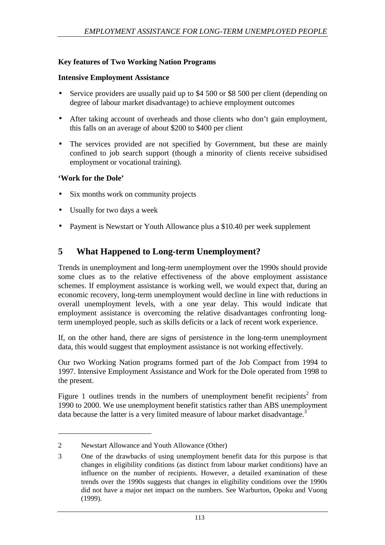### **Key features of Two Working Nation Programs**

#### **Intensive Employment Assistance**

- Service providers are usually paid up to \$4 500 or \$8 500 per client (depending on degree of labour market disadvantage) to achieve employment outcomes
- After taking account of overheads and those clients who don't gain employment, this falls on an average of about \$200 to \$400 per client
- The services provided are not specified by Government, but these are mainly confined to job search support (though a minority of clients receive subsidised employment or vocational training).

#### **'Work for the Dole'**

l

- Six months work on community projects
- Usually for two days a week
- Payment is Newstart or Youth Allowance plus a \$10.40 per week supplement

## **5 What Happened to Long-term Unemployment?**

Trends in unemployment and long-term unemployment over the 1990s should provide some clues as to the relative effectiveness of the above employment assistance schemes. If employment assistance is working well, we would expect that, during an economic recovery, long-term unemployment would decline in line with reductions in overall unemployment levels, with a one year delay. This would indicate that employment assistance is overcoming the relative disadvantages confronting longterm unemployed people, such as skills deficits or a lack of recent work experience.

If, on the other hand, there are signs of persistence in the long-term unemployment data, this would suggest that employment assistance is not working effectively.

Our two Working Nation programs formed part of the Job Compact from 1994 to 1997. Intensive Employment Assistance and Work for the Dole operated from 1998 to the present.

Figure 1 outlines trends in the numbers of unemployment benefit recipients<sup>2</sup> from 1990 to 2000. We use unemployment benefit statistics rather than ABS unemployment data because the latter is a very limited measure of labour market disadvantage.<sup>3</sup>

<sup>2</sup> Newstart Allowance and Youth Allowance (Other)

<sup>3</sup> One of the drawbacks of using unemployment benefit data for this purpose is that changes in eligibility conditions (as distinct from labour market conditions) have an influence on the number of recipients. However, a detailed examination of these trends over the 1990s suggests that changes in eligibility conditions over the 1990s did not have a major net impact on the numbers. See Warburton, Opoku and Vuong (1999).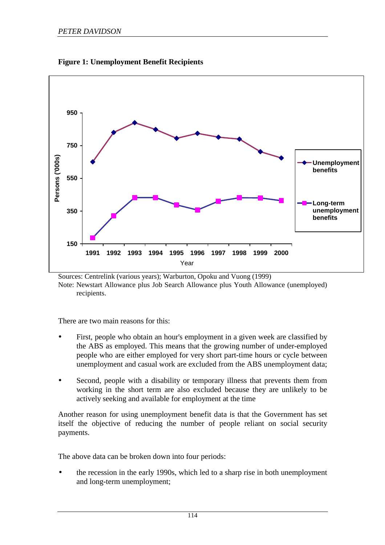

**Figure 1: Unemployment Benefit Recipients** 

Sources: Centrelink (various years); Warburton, Opoku and Vuong (1999) Note: Newstart Allowance plus Job Search Allowance plus Youth Allowance (unemployed) recipients.

There are two main reasons for this:

- First, people who obtain an hour's employment in a given week are classified by the ABS as employed. This means that the growing number of under-employed people who are either employed for very short part-time hours or cycle between unemployment and casual work are excluded from the ABS unemployment data;
- Second, people with a disability or temporary illness that prevents them from working in the short term are also excluded because they are unlikely to be actively seeking and available for employment at the time

Another reason for using unemployment benefit data is that the Government has set itself the objective of reducing the number of people reliant on social security payments.

The above data can be broken down into four periods:

• the recession in the early 1990s, which led to a sharp rise in both unemployment and long-term unemployment;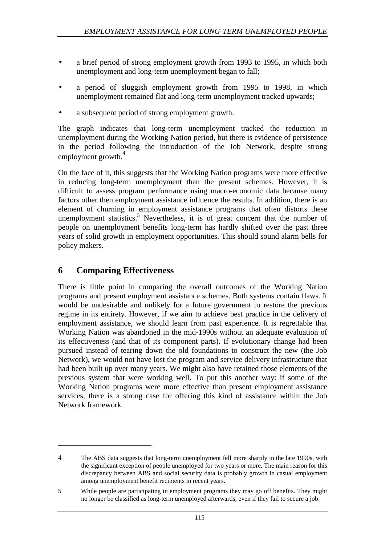- a brief period of strong employment growth from 1993 to 1995, in which both unemployment and long-term unemployment began to fall;
- a period of sluggish employment growth from 1995 to 1998, in which unemployment remained flat and long-term unemployment tracked upwards;
- a subsequent period of strong employment growth.

The graph indicates that long-term unemployment tracked the reduction in unemployment during the Working Nation period, but there is evidence of persistence in the period following the introduction of the Job Network, despite strong employment growth.<sup>4</sup>

On the face of it, this suggests that the Working Nation programs were more effective in reducing long-term unemployment than the present schemes. However, it is difficult to assess program performance using macro-economic data because many factors other then employment assistance influence the results. In addition, there is an element of churning in employment assistance programs that often distorts these unemployment statistics.<sup>5</sup> Nevertheless, it is of great concern that the number of people on unemployment benefits long-term has hardly shifted over the past three years of solid growth in employment opportunities. This should sound alarm bells for policy makers.

## **6 Comparing Effectiveness**

l

There is little point in comparing the overall outcomes of the Working Nation programs and present employment assistance schemes. Both systems contain flaws. It would be undesirable and unlikely for a future government to restore the previous regime in its entirety. However, if we aim to achieve best practice in the delivery of employment assistance, we should learn from past experience. It is regrettable that Working Nation was abandoned in the mid-1990s without an adequate evaluation of its effectiveness (and that of its component parts). If evolutionary change had been pursued instead of tearing down the old foundations to construct the new (the Job Network), we would not have lost the program and service delivery infrastructure that had been built up over many years. We might also have retained those elements of the previous system that were working well. To put this another way: if some of the Working Nation programs were more effective than present employment assistance services, there is a strong case for offering this kind of assistance within the Job Network framework.

<sup>4</sup> The ABS data suggests that long-term unemployment fell more sharply in the late 1990s, with the significant exception of people unemployed for two years or more. The main reason for this discrepancy between ABS and social security data is probably growth in casual employment among unemployment benefit recipients in recent years.

<sup>5</sup> While people are participating in employment programs they may go off benefits. They might no longer be classified as long-term unemployed afterwards, even if they fail to secure a job.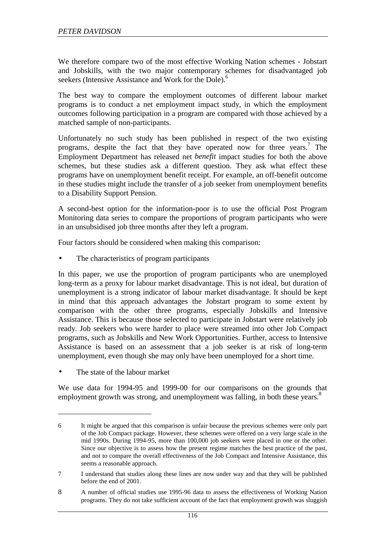We therefore compare two of the most effective Working Nation schemes - Jobstart and Jobskills, with the two major contemporary schemes for disadvantaged job seekers (Intensive Assistance and Work for the Dole).<sup>6</sup>

The best way to compare the employment outcomes of different labour market programs is to conduct a net employment impact study, in which the employment outcomes following participation in a program are compared with those achieved by a matched sample of non-participants.

Unfortunately no such study has been published in respect of the two existing programs, despite the fact that they have operated now for three years.<sup>7</sup> The Employment Department has released net *benefit* impact studies for both the above schemes, but these studies ask a different question. They ask what effect these programs have on unemployment benefit receipt. For example, an off-benefit outcome in these studies might include the transfer of a job seeker from unemployment benefits to a Disability Support Pension.

A second-best option for the information-poor is to use the official Post Program Monitoring data series to compare the proportions of program participants who were in an unsubsidised job three months after they left a program.

Four factors should be considered when making this comparison:

The characteristics of program participants

In this paper, we use the proportion of program participants who are unemployed long-term as a proxy for labour market disadvantage. This is not ideal, but duration of unemployment is a strong indicator of labour market disadvantage. It should be kept in mind that this approach advantages the Jobstart program to some extent by comparison with the other three programs, especially Jobskills and Intensive Assistance. This is because those selected to participate in Jobstart were relatively job ready. Job seekers who were harder to place were streamed into other Job Compact programs, such as Jobskills and New Work Opportunities. Further, access to Intensive Assistance is based on an assessment that a job seeker is at risk of long-term unemployment, even though she may only have been unemployed for a short time.

The state of the labour market

l

We use data for 1994-95 and 1999-00 for our comparisons on the grounds that employment growth was strong, and unemployment was falling, in both these years.<sup>8</sup>

<sup>6</sup> It might be argued that this comparison is unfair because the previous schemes were only part of the Job Compact package. However, these schemes were offered on a very large scale in the mid 1990s. During 1994-95, more than 100,000 job seekers were placed in one or the other. Since our objective is to assess how the present regime matches the best practice of the past, and not to compare the overall effectiveness of the Job Compact and Intensive Assistance, this seems a reasonable approach.

<sup>7</sup> I understand that studies along these lines are now under way and that they will be published before the end of 2001.

<sup>8</sup> A number of official studies use 1995-96 data to assess the effectiveness of Working Nation programs. They do not take sufficient account of the fact that employment growth was sluggish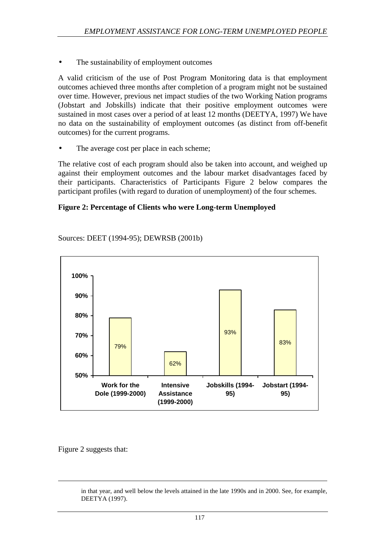The sustainability of employment outcomes

A valid criticism of the use of Post Program Monitoring data is that employment outcomes achieved three months after completion of a program might not be sustained over time. However, previous net impact studies of the two Working Nation programs (Jobstart and Jobskills) indicate that their positive employment outcomes were sustained in most cases over a period of at least 12 months (DEETYA, 1997) We have no data on the sustainability of employment outcomes (as distinct from off-benefit outcomes) for the current programs.

The average cost per place in each scheme;

The relative cost of each program should also be taken into account, and weighed up against their employment outcomes and the labour market disadvantages faced by their participants. Characteristics of Participants Figure 2 below compares the participant profiles (with regard to duration of unemployment) of the four schemes.

#### **Figure 2: Percentage of Clients who were Long-term Unemployed**



Sources: DEET (1994-95); DEWRSB (2001b)

Figure 2 suggests that:

-

in that year, and well below the levels attained in the late 1990s and in 2000. See, for example, DEETYA (1997).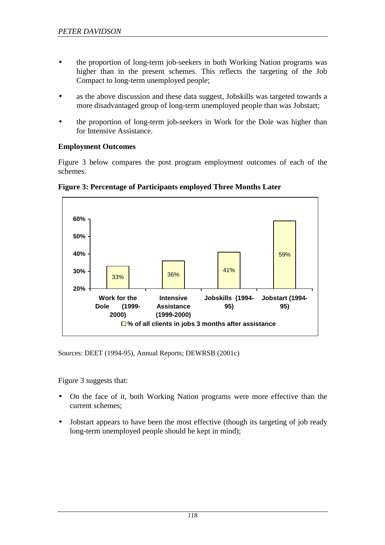- the proportion of long-term job-seekers in both Working Nation programs was higher than in the present schemes. This reflects the targeting of the Job Compact to long-term unemployed people;
- as the above discussion and these data suggest, Jobskills was targeted towards a more disadvantaged group of long-term unemployed people than was Jobstart;
- the proportion of long-term job-seekers in Work for the Dole was higher than for Intensive Assistance.

#### **Employment Outcomes**

Figure 3 below compares the post program employment outcomes of each of the schemes.



**Figure 3: Percentage of Participants employed Three Months Later** 

Sources: DEET (1994-95), Annual Reports; DEWRSB (2001c)

Figure 3 suggests that:

- On the face of it, both Working Nation programs were more effective than the current schemes;
- Jobstart appears to have been the most effective (though its targeting of job ready long-term unemployed people should be kept in mind);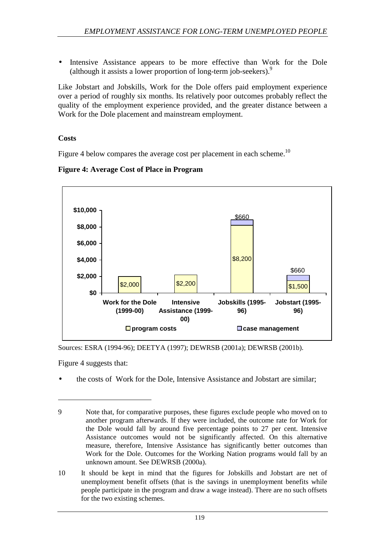• Intensive Assistance appears to be more effective than Work for the Dole (although it assists a lower proportion of long-term job-seekers).<sup>9</sup>

Like Jobstart and Jobskills, Work for the Dole offers paid employment experience over a period of roughly six months. Its relatively poor outcomes probably reflect the quality of the employment experience provided, and the greater distance between a Work for the Dole placement and mainstream employment.

#### **Costs**

Figure 4 below compares the average cost per placement in each scheme.<sup>10</sup>



#### **Figure 4: Average Cost of Place in Program**

Sources: ESRA (1994-96); DEETYA (1997); DEWRSB (2001a); DEWRSB (2001b).

Figure 4 suggests that:

l

• the costs of Work for the Dole, Intensive Assistance and Jobstart are similar;

10 It should be kept in mind that the figures for Jobskills and Jobstart are net of unemployment benefit offsets (that is the savings in unemployment benefits while people participate in the program and draw a wage instead). There are no such offsets for the two existing schemes.

<sup>9</sup> Note that, for comparative purposes, these figures exclude people who moved on to another program afterwards. If they were included, the outcome rate for Work for the Dole would fall by around five percentage points to 27 per cent. Intensive Assistance outcomes would not be significantly affected. On this alternative measure, therefore, Intensive Assistance has significantly better outcomes than Work for the Dole. Outcomes for the Working Nation programs would fall by an unknown amount. See DEWRSB (2000a).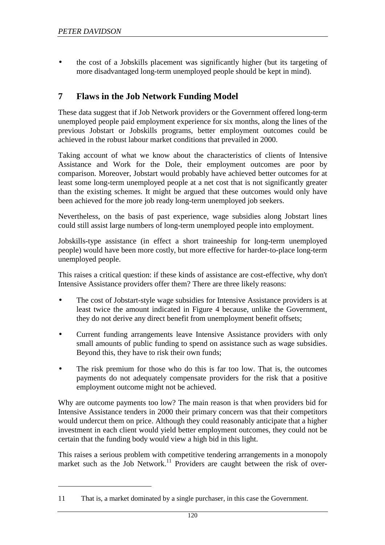l

• the cost of a Jobskills placement was significantly higher (but its targeting of more disadvantaged long-term unemployed people should be kept in mind).

## **7 Flaws in the Job Network Funding Model**

These data suggest that if Job Network providers or the Government offered long-term unemployed people paid employment experience for six months, along the lines of the previous Jobstart or Jobskills programs, better employment outcomes could be achieved in the robust labour market conditions that prevailed in 2000.

Taking account of what we know about the characteristics of clients of Intensive Assistance and Work for the Dole, their employment outcomes are poor by comparison. Moreover, Jobstart would probably have achieved better outcomes for at least some long-term unemployed people at a net cost that is not significantly greater than the existing schemes. It might be argued that these outcomes would only have been achieved for the more job ready long-term unemployed job seekers.

Nevertheless, on the basis of past experience, wage subsidies along Jobstart lines could still assist large numbers of long-term unemployed people into employment.

Jobskills-type assistance (in effect a short traineeship for long-term unemployed people) would have been more costly, but more effective for harder-to-place long-term unemployed people.

This raises a critical question: if these kinds of assistance are cost-effective, why don't Intensive Assistance providers offer them? There are three likely reasons:

- The cost of Jobstart-style wage subsidies for Intensive Assistance providers is at least twice the amount indicated in Figure 4 because, unlike the Government, they do not derive any direct benefit from unemployment benefit offsets;
- Current funding arrangements leave Intensive Assistance providers with only small amounts of public funding to spend on assistance such as wage subsidies. Beyond this, they have to risk their own funds;
- The risk premium for those who do this is far too low. That is, the outcomes payments do not adequately compensate providers for the risk that a positive employment outcome might not be achieved.

Why are outcome payments too low? The main reason is that when providers bid for Intensive Assistance tenders in 2000 their primary concern was that their competitors would undercut them on price. Although they could reasonably anticipate that a higher investment in each client would yield better employment outcomes, they could not be certain that the funding body would view a high bid in this light.

This raises a serious problem with competitive tendering arrangements in a monopoly market such as the Job Network.<sup>11</sup> Providers are caught between the risk of over-

<sup>11</sup> That is, a market dominated by a single purchaser, in this case the Government.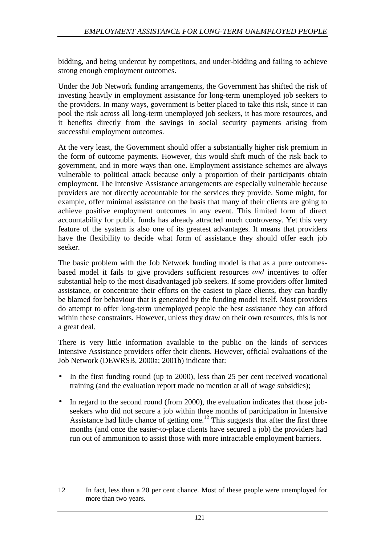bidding, and being undercut by competitors, and under-bidding and failing to achieve strong enough employment outcomes.

Under the Job Network funding arrangements, the Government has shifted the risk of investing heavily in employment assistance for long-term unemployed job seekers to the providers. In many ways, government is better placed to take this risk, since it can pool the risk across all long-term unemployed job seekers, it has more resources, and it benefits directly from the savings in social security payments arising from successful employment outcomes.

At the very least, the Government should offer a substantially higher risk premium in the form of outcome payments. However, this would shift much of the risk back to government, and in more ways than one. Employment assistance schemes are always vulnerable to political attack because only a proportion of their participants obtain employment. The Intensive Assistance arrangements are especially vulnerable because providers are not directly accountable for the services they provide. Some might, for example, offer minimal assistance on the basis that many of their clients are going to achieve positive employment outcomes in any event. This limited form of direct accountability for public funds has already attracted much controversy. Yet this very feature of the system is also one of its greatest advantages. It means that providers have the flexibility to decide what form of assistance they should offer each job seeker.

The basic problem with the Job Network funding model is that as a pure outcomesbased model it fails to give providers sufficient resources *and* incentives to offer substantial help to the most disadvantaged job seekers. If some providers offer limited assistance, or concentrate their efforts on the easiest to place clients, they can hardly be blamed for behaviour that is generated by the funding model itself. Most providers do attempt to offer long-term unemployed people the best assistance they can afford within these constraints. However, unless they draw on their own resources, this is not a great deal.

There is very little information available to the public on the kinds of services Intensive Assistance providers offer their clients. However, official evaluations of the Job Network (DEWRSB, 2000a; 2001b) indicate that:

- In the first funding round (up to 2000), less than 25 per cent received vocational training (and the evaluation report made no mention at all of wage subsidies);
- In regard to the second round (from 2000), the evaluation indicates that those jobseekers who did not secure a job within three months of participation in Intensive Assistance had little chance of getting one.<sup>12</sup> This suggests that after the first three months (and once the easier-to-place clients have secured a job) the providers had run out of ammunition to assist those with more intractable employment barriers.

l

<sup>12</sup> In fact, less than a 20 per cent chance. Most of these people were unemployed for more than two years.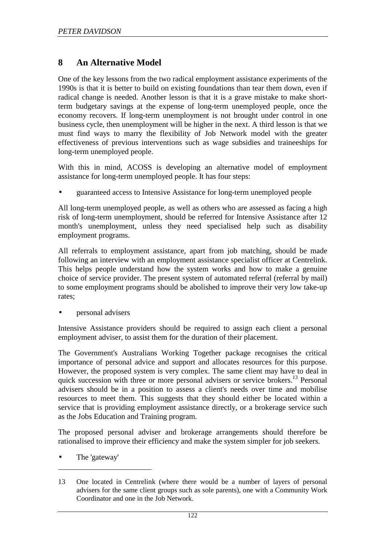## **8 An Alternative Model**

One of the key lessons from the two radical employment assistance experiments of the 1990s is that it is better to build on existing foundations than tear them down, even if radical change is needed. Another lesson is that it is a grave mistake to make shortterm budgetary savings at the expense of long-term unemployed people, once the economy recovers. If long-term unemployment is not brought under control in one business cycle, then unemployment will be higher in the next. A third lesson is that we must find ways to marry the flexibility of Job Network model with the greater effectiveness of previous interventions such as wage subsidies and traineeships for long-term unemployed people.

With this in mind, ACOSS is developing an alternative model of employment assistance for long-term unemployed people. It has four steps:

• guaranteed access to Intensive Assistance for long-term unemployed people

All long-term unemployed people, as well as others who are assessed as facing a high risk of long-term unemployment, should be referred for Intensive Assistance after 12 month's unemployment, unless they need specialised help such as disability employment programs.

All referrals to employment assistance, apart from job matching, should be made following an interview with an employment assistance specialist officer at Centrelink. This helps people understand how the system works and how to make a genuine choice of service provider. The present system of automated referral (referral by mail) to some employment programs should be abolished to improve their very low take-up rates;

• personal advisers

Intensive Assistance providers should be required to assign each client a personal employment adviser, to assist them for the duration of their placement.

The Government's Australians Working Together package recognises the critical importance of personal advice and support and allocates resources for this purpose. However, the proposed system is very complex. The same client may have to deal in quick succession with three or more personal advisers or service brokers.<sup>13</sup> Personal advisers should be in a position to assess a client's needs over time and mobilise resources to meet them. This suggests that they should either be located within a service that is providing employment assistance directly, or a brokerage service such as the Jobs Education and Training program.

The proposed personal adviser and brokerage arrangements should therefore be rationalised to improve their efficiency and make the system simpler for job seekers.

• The 'gateway'

l

<sup>13</sup> One located in Centrelink (where there would be a number of layers of personal advisers for the same client groups such as sole parents), one with a Community Work Coordinator and one in the Job Network.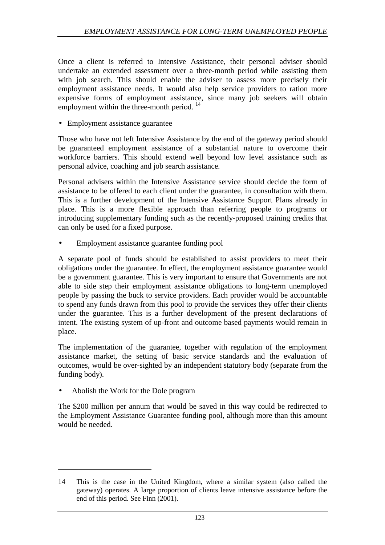Once a client is referred to Intensive Assistance, their personal adviser should undertake an extended assessment over a three-month period while assisting them with job search. This should enable the adviser to assess more precisely their employment assistance needs. It would also help service providers to ration more expensive forms of employment assistance, since many job seekers will obtain employment within the three-month period.<sup>14</sup>

• Employment assistance guarantee

Those who have not left Intensive Assistance by the end of the gateway period should be guaranteed employment assistance of a substantial nature to overcome their workforce barriers. This should extend well beyond low level assistance such as personal advice, coaching and job search assistance.

Personal advisers within the Intensive Assistance service should decide the form of assistance to be offered to each client under the guarantee, in consultation with them. This is a further development of the Intensive Assistance Support Plans already in place. This is a more flexible approach than referring people to programs or introducing supplementary funding such as the recently-proposed training credits that can only be used for a fixed purpose.

• Employment assistance guarantee funding pool

A separate pool of funds should be established to assist providers to meet their obligations under the guarantee. In effect, the employment assistance guarantee would be a government guarantee. This is very important to ensure that Governments are not able to side step their employment assistance obligations to long-term unemployed people by passing the buck to service providers. Each provider would be accountable to spend any funds drawn from this pool to provide the services they offer their clients under the guarantee. This is a further development of the present declarations of intent. The existing system of up-front and outcome based payments would remain in place.

The implementation of the guarantee, together with regulation of the employment assistance market, the setting of basic service standards and the evaluation of outcomes, would be over-sighted by an independent statutory body (separate from the funding body).

• Abolish the Work for the Dole program

l

The \$200 million per annum that would be saved in this way could be redirected to the Employment Assistance Guarantee funding pool, although more than this amount would be needed.

<sup>14</sup> This is the case in the United Kingdom, where a similar system (also called the gateway) operates. A large proportion of clients leave intensive assistance before the end of this period. See Finn (2001).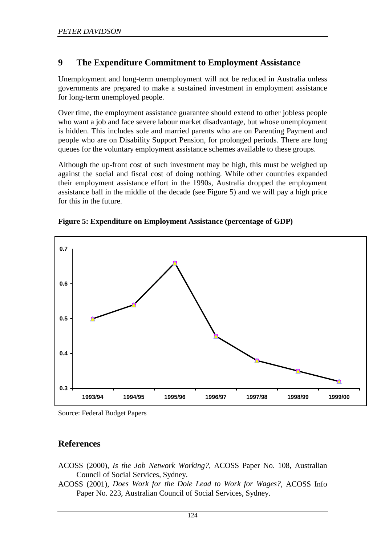## **9 The Expenditure Commitment to Employment Assistance**

Unemployment and long-term unemployment will not be reduced in Australia unless governments are prepared to make a sustained investment in employment assistance for long-term unemployed people.

Over time, the employment assistance guarantee should extend to other jobless people who want a job and face severe labour market disadvantage, but whose unemployment is hidden. This includes sole and married parents who are on Parenting Payment and people who are on Disability Support Pension, for prolonged periods. There are long queues for the voluntary employment assistance schemes available to these groups.

Although the up-front cost of such investment may be high, this must be weighed up against the social and fiscal cost of doing nothing. While other countries expanded their employment assistance effort in the 1990s, Australia dropped the employment assistance ball in the middle of the decade (see Figure 5) and we will pay a high price for this in the future.



**Figure 5: Expenditure on Employment Assistance (percentage of GDP)** 

## **References**

- ACOSS (2000), *Is the Job Network Working?*, ACOSS Paper No. 108, Australian Council of Social Services, Sydney.
- ACOSS (2001), *Does Work for the Dole Lead to Work for Wages?*, ACOSS Info Paper No. 223, Australian Council of Social Services, Sydney.

Source: Federal Budget Papers